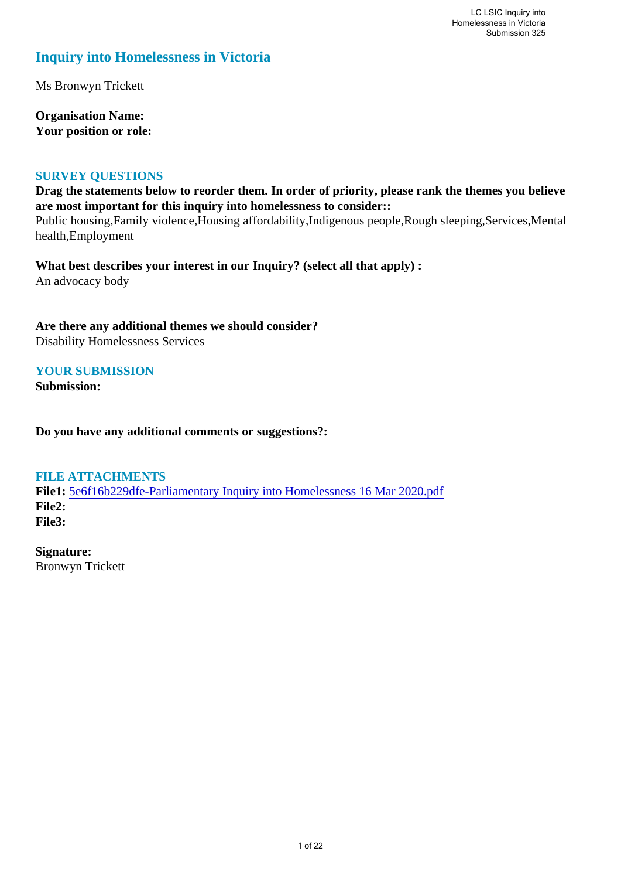# **Inquiry into Homelessness in Victoria**

Ms Bronwyn Trickett

**Organisation Name: Your position or role:** 

#### **SURVEY QUESTIONS**

**Drag the statements below to reorder them. In order of priority, please rank the themes you believe are most important for this inquiry into homelessness to consider::** 

Public housing,Family violence,Housing affordability,Indigenous people,Rough sleeping,Services,Mental health,Employment

**What best describes your interest in our Inquiry? (select all that apply) :**  An advocacy body

**Are there any additional themes we should consider?** Disability Homelessness Services

#### **YOUR SUBMISSION**

**Submission:** 

**Do you have any additional comments or suggestions?:** 

#### **FILE ATTACHMENTS**

**File1:** 5e6f16b229dfe-Parliamentary Inquiry into Homelessness 16 Mar 2020.pdf **File2: File3:** 

**Signature:** Bronwyn Trickett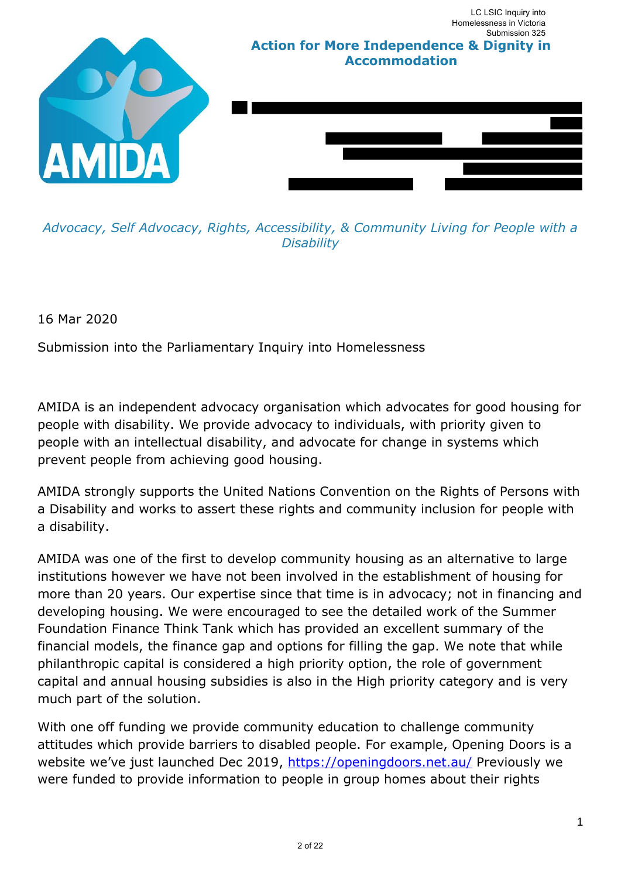

*Advocacy, Self Advocacy, Rights, Accessibility, & Community Living for People with a Disability* 

16 Mar 2020

Submission into the Parliamentary Inquiry into Homelessness

AMIDA is an independent advocacy organisation which advocates for good housing for people with disability. We provide advocacy to individuals, with priority given to people with an intellectual disability, and advocate for change in systems which prevent people from achieving good housing.

AMIDA strongly supports the United Nations Convention on the Rights of Persons with a Disability and works to assert these rights and community inclusion for people with a disability.

AMIDA was one of the first to develop community housing as an alternative to large institutions however we have not been involved in the establishment of housing for more than 20 years. Our expertise since that time is in advocacy; not in financing and developing housing. We were encouraged to see the detailed work of the Summer Foundation Finance Think Tank which has provided an excellent summary of the financial models, the finance gap and options for filling the gap. We note that while philanthropic capital is considered a high priority option, the role of government capital and annual housing subsidies is also in the High priority category and is very much part of the solution.

With one off funding we provide community education to challenge community attitudes which provide barriers to disabled people. For example, Opening Doors is a website we've just launched Dec 2019, https://openingdoors.net.au/ Previously we were funded to provide information to people in group homes about their rights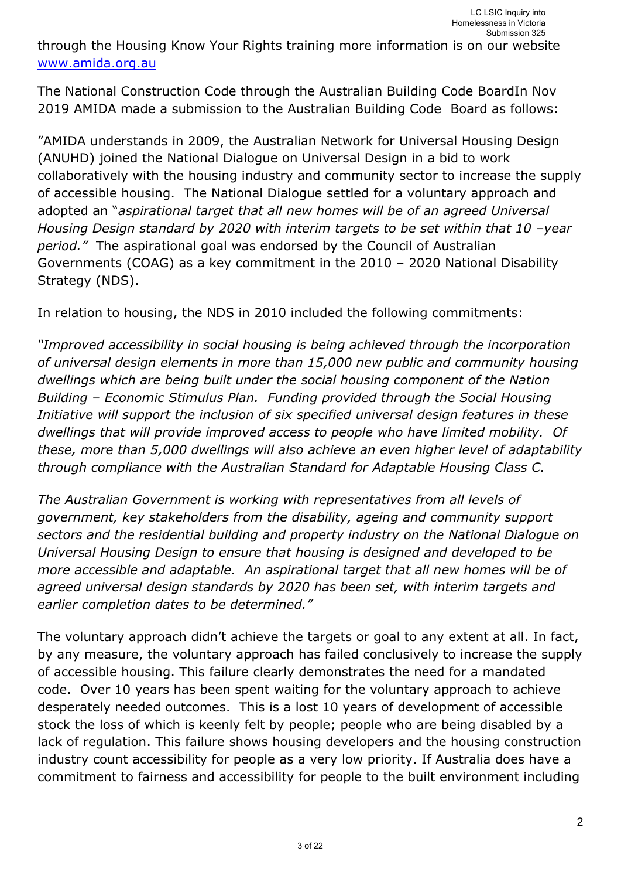through the Housing Know Your Rights training more information is on our website www.amida.org.au

The National Construction Code through the Australian Building Code BoardIn Nov 2019 AMIDA made a submission to the Australian Building Code Board as follows:

"AMIDA understands in 2009, the Australian Network for Universal Housing Design (ANUHD) joined the National Dialogue on Universal Design in a bid to work collaboratively with the housing industry and community sector to increase the supply of accessible housing. The National Dialogue settled for a voluntary approach and adopted an "*aspirational target that all new homes will be of an agreed Universal Housing Design standard by 2020 with interim targets to be set within that 10 -year period."* The aspirational goal was endorsed by the Council of Australian Governments (COAG) as a key commitment in the 2010 – 2020 National Disability Strategy (NDS).

In relation to housing, the NDS in 2010 included the following commitments:

*"Improved accessibility in social housing is being achieved through the incorporation of universal design elements in more than 15,000 new public and community housing dwellings which are being built under the social housing component of the Nation Building – Economic Stimulus Plan. Funding provided through the Social Housing Initiative will support the inclusion of six specified universal design features in these dwellings that will provide improved access to people who have limited mobility. Of these, more than 5,000 dwellings will also achieve an even higher level of adaptability through compliance with the Australian Standard for Adaptable Housing Class C.* 

*The Australian Government is working with representatives from all levels of government, key stakeholders from the disability, ageing and community support sectors and the residential building and property industry on the National Dialogue on Universal Housing Design to ensure that housing is designed and developed to be more accessible and adaptable. An aspirational target that all new homes will be of agreed universal design standards by 2020 has been set, with interim targets and earlier completion dates to be determined."*

The voluntary approach didn't achieve the targets or goal to any extent at all. In fact, by any measure, the voluntary approach has failed conclusively to increase the supply of accessible housing. This failure clearly demonstrates the need for a mandated code. Over 10 years has been spent waiting for the voluntary approach to achieve desperately needed outcomes. This is a lost 10 years of development of accessible stock the loss of which is keenly felt by people; people who are being disabled by a lack of regulation. This failure shows housing developers and the housing construction industry count accessibility for people as a very low priority. If Australia does have a commitment to fairness and accessibility for people to the built environment including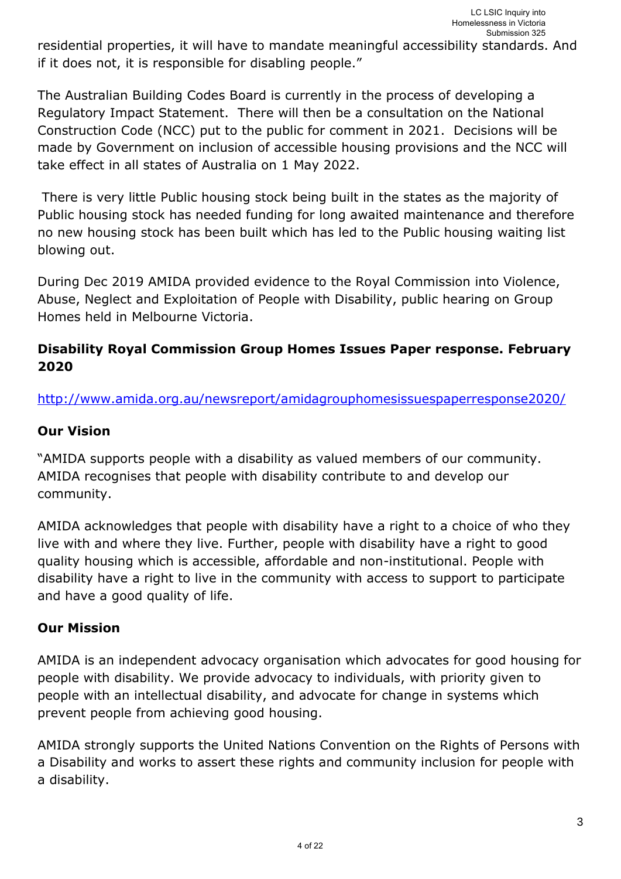residential properties, it will have to mandate meaningful accessibility standards. And if it does not, it is responsible for disabling people."

The Australian Building Codes Board is currently in the process of developing a Regulatory Impact Statement. There will then be a consultation on the National Construction Code (NCC) put to the public for comment in 2021. Decisions will be made by Government on inclusion of accessible housing provisions and the NCC will take effect in all states of Australia on 1 May 2022.

 There is very little Public housing stock being built in the states as the majority of Public housing stock has needed funding for long awaited maintenance and therefore no new housing stock has been built which has led to the Public housing waiting list blowing out.

During Dec 2019 AMIDA provided evidence to the Royal Commission into Violence, Abuse, Neglect and Exploitation of People with Disability, public hearing on Group Homes held in Melbourne Victoria.

## **Disability Royal Commission Group Homes Issues Paper response. February 2020**

http://www.amida.org.au/newsreport/amidagrouphomesissuespaperresponse2020/

#### **Our Vision**

"AMIDA supports people with a disability as valued members of our community. AMIDA recognises that people with disability contribute to and develop our community.

AMIDA acknowledges that people with disability have a right to a choice of who they live with and where they live. Further, people with disability have a right to good quality housing which is accessible, affordable and non-institutional. People with disability have a right to live in the community with access to support to participate and have a good quality of life.

#### **Our Mission**

AMIDA is an independent advocacy organisation which advocates for good housing for people with disability. We provide advocacy to individuals, with priority given to people with an intellectual disability, and advocate for change in systems which prevent people from achieving good housing.

AMIDA strongly supports the United Nations Convention on the Rights of Persons with a Disability and works to assert these rights and community inclusion for people with a disability.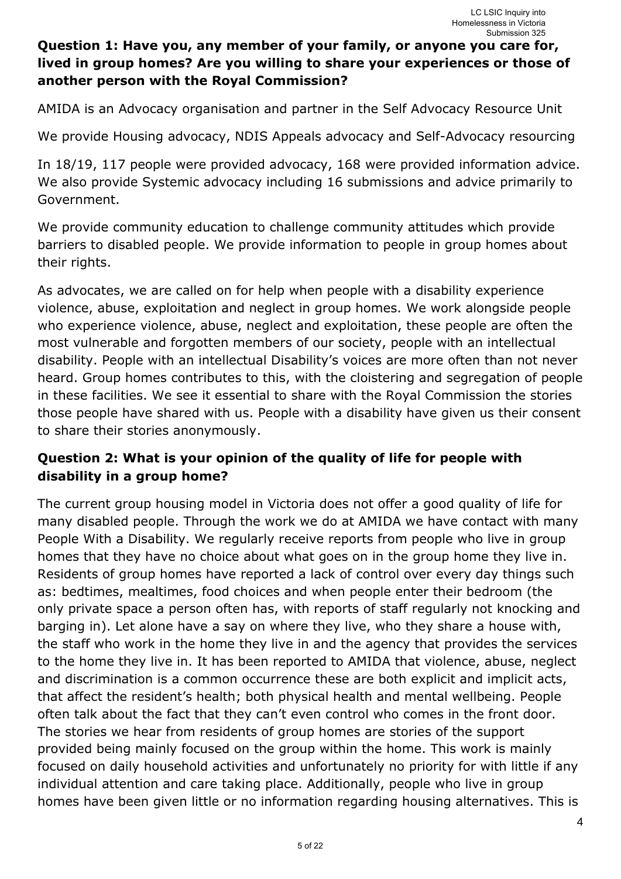## **Question 1: Have you, any member of your family, or anyone you care for, lived in group homes? Are you willing to share your experiences or those of another person with the Royal Commission?**

AMIDA is an Advocacy organisation and partner in the Self Advocacy Resource Unit

We provide Housing advocacy, NDIS Appeals advocacy and Self-Advocacy resourcing

In 18/19, 117 people were provided advocacy, 168 were provided information advice. We also provide Systemic advocacy including 16 submissions and advice primarily to Government.

We provide community education to challenge community attitudes which provide barriers to disabled people. We provide information to people in group homes about their rights.

As advocates, we are called on for help when people with a disability experience violence, abuse, exploitation and neglect in group homes. We work alongside people who experience violence, abuse, neglect and exploitation, these people are often the most vulnerable and forgotten members of our society, people with an intellectual disability. People with an intellectual Disability's voices are more often than not never heard. Group homes contributes to this, with the cloistering and segregation of people in these facilities. We see it essential to share with the Royal Commission the stories those people have shared with us. People with a disability have given us their consent to share their stories anonymously.

## **Question 2: What is your opinion of the quality of life for people with disability in a group home?**

The current group housing model in Victoria does not offer a good quality of life for many disabled people. Through the work we do at AMIDA we have contact with many People With a Disability. We regularly receive reports from people who live in group homes that they have no choice about what goes on in the group home they live in. Residents of group homes have reported a lack of control over every day things such as: bedtimes, mealtimes, food choices and when people enter their bedroom (the only private space a person often has, with reports of staff regularly not knocking and barging in). Let alone have a say on where they live, who they share a house with, the staff who work in the home they live in and the agency that provides the services to the home they live in. It has been reported to AMIDA that violence, abuse, neglect and discrimination is a common occurrence these are both explicit and implicit acts, that affect the resident's health; both physical health and mental wellbeing. People often talk about the fact that they can't even control who comes in the front door. The stories we hear from residents of group homes are stories of the support provided being mainly focused on the group within the home. This work is mainly focused on daily household activities and unfortunately no priority for with little if any individual attention and care taking place. Additionally, people who live in group homes have been given little or no information regarding housing alternatives. This is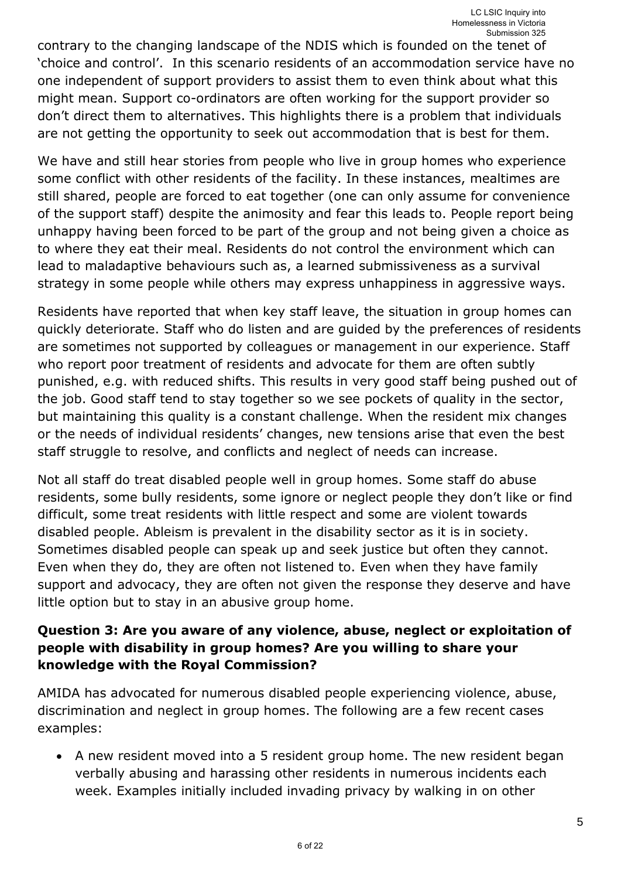contrary to the changing landscape of the NDIS which is founded on the tenet of 'choice and control'. In this scenario residents of an accommodation service have no one independent of support providers to assist them to even think about what this might mean. Support co-ordinators are often working for the support provider so don't direct them to alternatives. This highlights there is a problem that individuals are not getting the opportunity to seek out accommodation that is best for them.

We have and still hear stories from people who live in group homes who experience some conflict with other residents of the facility. In these instances, mealtimes are still shared, people are forced to eat together (one can only assume for convenience of the support staff) despite the animosity and fear this leads to. People report being unhappy having been forced to be part of the group and not being given a choice as to where they eat their meal. Residents do not control the environment which can lead to maladaptive behaviours such as, a learned submissiveness as a survival strategy in some people while others may express unhappiness in aggressive ways.

Residents have reported that when key staff leave, the situation in group homes can quickly deteriorate. Staff who do listen and are guided by the preferences of residents are sometimes not supported by colleagues or management in our experience. Staff who report poor treatment of residents and advocate for them are often subtly punished, e.g. with reduced shifts. This results in very good staff being pushed out of the job. Good staff tend to stay together so we see pockets of quality in the sector, but maintaining this quality is a constant challenge. When the resident mix changes or the needs of individual residents' changes, new tensions arise that even the best staff struggle to resolve, and conflicts and neglect of needs can increase.

Not all staff do treat disabled people well in group homes. Some staff do abuse residents, some bully residents, some ignore or neglect people they don't like or find difficult, some treat residents with little respect and some are violent towards disabled people. Ableism is prevalent in the disability sector as it is in society. Sometimes disabled people can speak up and seek justice but often they cannot. Even when they do, they are often not listened to. Even when they have family support and advocacy, they are often not given the response they deserve and have little option but to stay in an abusive group home.

## **Question 3: Are you aware of any violence, abuse, neglect or exploitation of people with disability in group homes? Are you willing to share your knowledge with the Royal Commission?**

AMIDA has advocated for numerous disabled people experiencing violence, abuse, discrimination and neglect in group homes. The following are a few recent cases examples:

 A new resident moved into a 5 resident group home. The new resident began verbally abusing and harassing other residents in numerous incidents each week. Examples initially included invading privacy by walking in on other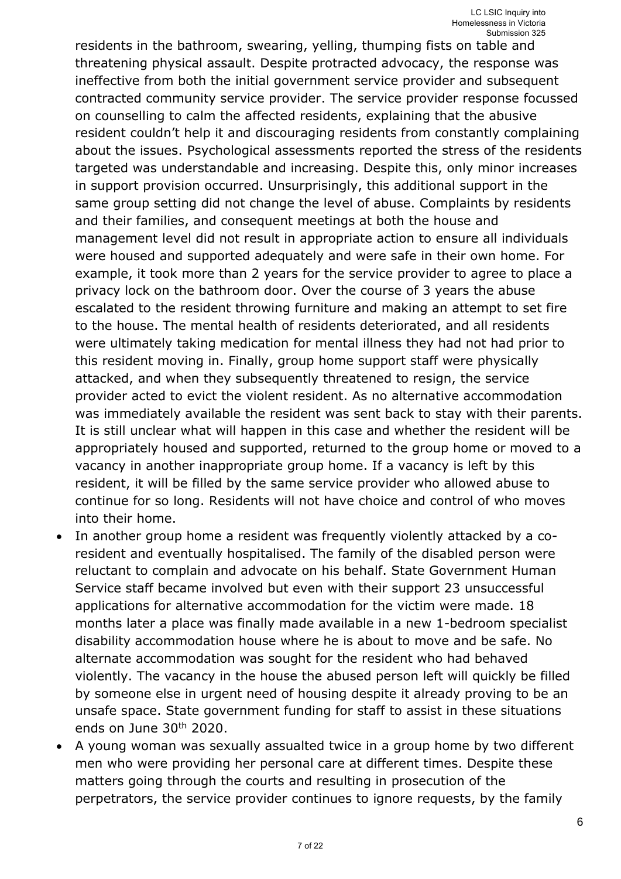residents in the bathroom, swearing, yelling, thumping fists on table and threatening physical assault. Despite protracted advocacy, the response was ineffective from both the initial government service provider and subsequent contracted community service provider. The service provider response focussed on counselling to calm the affected residents, explaining that the abusive resident couldn't help it and discouraging residents from constantly complaining about the issues. Psychological assessments reported the stress of the residents targeted was understandable and increasing. Despite this, only minor increases in support provision occurred. Unsurprisingly, this additional support in the same group setting did not change the level of abuse. Complaints by residents and their families, and consequent meetings at both the house and management level did not result in appropriate action to ensure all individuals were housed and supported adequately and were safe in their own home. For example, it took more than 2 years for the service provider to agree to place a privacy lock on the bathroom door. Over the course of 3 years the abuse escalated to the resident throwing furniture and making an attempt to set fire to the house. The mental health of residents deteriorated, and all residents were ultimately taking medication for mental illness they had not had prior to this resident moving in. Finally, group home support staff were physically attacked, and when they subsequently threatened to resign, the service provider acted to evict the violent resident. As no alternative accommodation was immediately available the resident was sent back to stay with their parents. It is still unclear what will happen in this case and whether the resident will be appropriately housed and supported, returned to the group home or moved to a vacancy in another inappropriate group home. If a vacancy is left by this resident, it will be filled by the same service provider who allowed abuse to continue for so long. Residents will not have choice and control of who moves into their home.

- In another group home a resident was frequently violently attacked by a coresident and eventually hospitalised. The family of the disabled person were reluctant to complain and advocate on his behalf. State Government Human Service staff became involved but even with their support 23 unsuccessful applications for alternative accommodation for the victim were made. 18 months later a place was finally made available in a new 1-bedroom specialist disability accommodation house where he is about to move and be safe. No alternate accommodation was sought for the resident who had behaved violently. The vacancy in the house the abused person left will quickly be filled by someone else in urgent need of housing despite it already proving to be an unsafe space. State government funding for staff to assist in these situations ends on June 30th 2020.
- A young woman was sexually assualted twice in a group home by two different men who were providing her personal care at different times. Despite these matters going through the courts and resulting in prosecution of the perpetrators, the service provider continues to ignore requests, by the family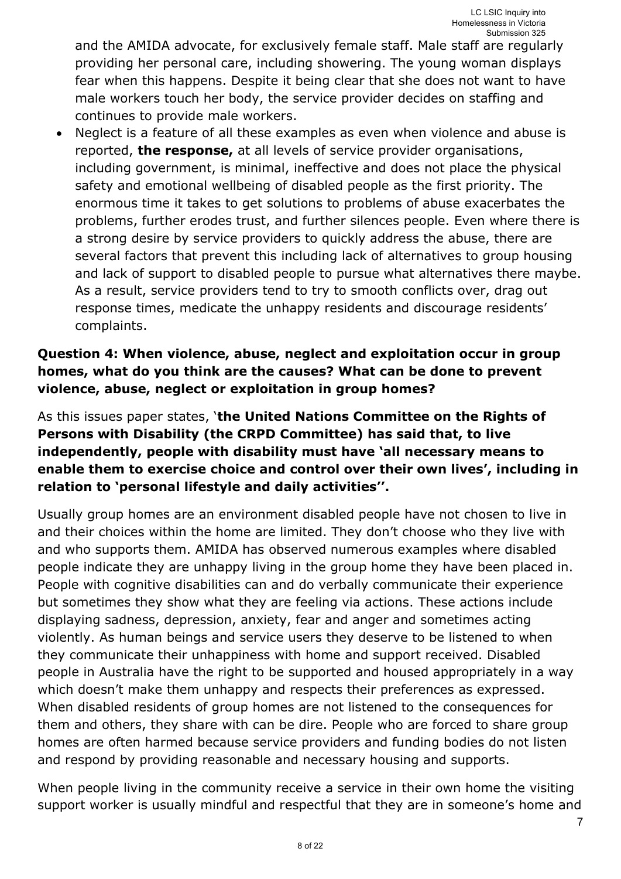7

and the AMIDA advocate, for exclusively female staff. Male staff are regularly providing her personal care, including showering. The young woman displays fear when this happens. Despite it being clear that she does not want to have male workers touch her body, the service provider decides on staffing and continues to provide male workers.

 Neglect is a feature of all these examples as even when violence and abuse is reported, **the response,** at all levels of service provider organisations, including government, is minimal, ineffective and does not place the physical safety and emotional wellbeing of disabled people as the first priority. The enormous time it takes to get solutions to problems of abuse exacerbates the problems, further erodes trust, and further silences people. Even where there is a strong desire by service providers to quickly address the abuse, there are several factors that prevent this including lack of alternatives to group housing and lack of support to disabled people to pursue what alternatives there maybe. As a result, service providers tend to try to smooth conflicts over, drag out response times, medicate the unhappy residents and discourage residents' complaints.

## **Question 4: When violence, abuse, neglect and exploitation occur in group homes, what do you think are the causes? What can be done to prevent violence, abuse, neglect or exploitation in group homes?**

As this issues paper states, '**the United Nations Committee on the Rights of Persons with Disability (the CRPD Committee) has said that, to live independently, people with disability must have 'all necessary means to enable them to exercise choice and control over their own lives', including in relation to 'personal lifestyle and daily activities''.**

Usually group homes are an environment disabled people have not chosen to live in and their choices within the home are limited. They don't choose who they live with and who supports them. AMIDA has observed numerous examples where disabled people indicate they are unhappy living in the group home they have been placed in. People with cognitive disabilities can and do verbally communicate their experience but sometimes they show what they are feeling via actions. These actions include displaying sadness, depression, anxiety, fear and anger and sometimes acting violently. As human beings and service users they deserve to be listened to when they communicate their unhappiness with home and support received. Disabled people in Australia have the right to be supported and housed appropriately in a way which doesn't make them unhappy and respects their preferences as expressed. When disabled residents of group homes are not listened to the consequences for them and others, they share with can be dire. People who are forced to share group homes are often harmed because service providers and funding bodies do not listen and respond by providing reasonable and necessary housing and supports.

When people living in the community receive a service in their own home the visiting support worker is usually mindful and respectful that they are in someone's home and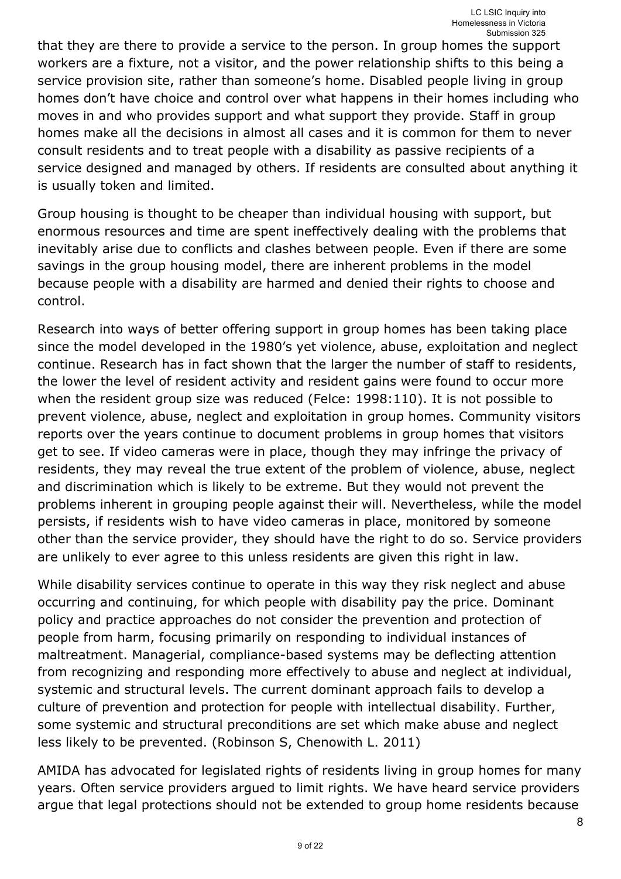that they are there to provide a service to the person. In group homes the support workers are a fixture, not a visitor, and the power relationship shifts to this being a service provision site, rather than someone's home. Disabled people living in group homes don't have choice and control over what happens in their homes including who moves in and who provides support and what support they provide. Staff in group homes make all the decisions in almost all cases and it is common for them to never consult residents and to treat people with a disability as passive recipients of a service designed and managed by others. If residents are consulted about anything it is usually token and limited.

Group housing is thought to be cheaper than individual housing with support, but enormous resources and time are spent ineffectively dealing with the problems that inevitably arise due to conflicts and clashes between people. Even if there are some savings in the group housing model, there are inherent problems in the model because people with a disability are harmed and denied their rights to choose and control.

Research into ways of better offering support in group homes has been taking place since the model developed in the 1980's yet violence, abuse, exploitation and neglect continue. Research has in fact shown that the larger the number of staff to residents, the lower the level of resident activity and resident gains were found to occur more when the resident group size was reduced (Felce: 1998:110). It is not possible to prevent violence, abuse, neglect and exploitation in group homes. Community visitors reports over the years continue to document problems in group homes that visitors get to see. If video cameras were in place, though they may infringe the privacy of residents, they may reveal the true extent of the problem of violence, abuse, neglect and discrimination which is likely to be extreme. But they would not prevent the problems inherent in grouping people against their will. Nevertheless, while the model persists, if residents wish to have video cameras in place, monitored by someone other than the service provider, they should have the right to do so. Service providers are unlikely to ever agree to this unless residents are given this right in law.

While disability services continue to operate in this way they risk neglect and abuse occurring and continuing, for which people with disability pay the price. Dominant policy and practice approaches do not consider the prevention and protection of people from harm, focusing primarily on responding to individual instances of maltreatment. Managerial, compliance-based systems may be deflecting attention from recognizing and responding more effectively to abuse and neglect at individual, systemic and structural levels. The current dominant approach fails to develop a culture of prevention and protection for people with intellectual disability. Further, some systemic and structural preconditions are set which make abuse and neglect less likely to be prevented. (Robinson S, Chenowith L. 2011)

AMIDA has advocated for legislated rights of residents living in group homes for many years. Often service providers argued to limit rights. We have heard service providers argue that legal protections should not be extended to group home residents because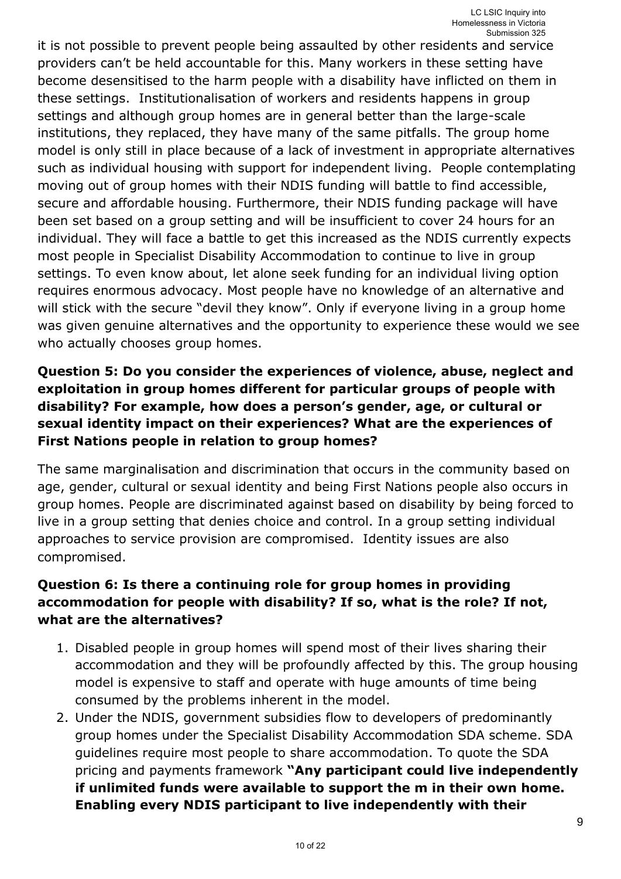it is not possible to prevent people being assaulted by other residents and service providers can't be held accountable for this. Many workers in these setting have become desensitised to the harm people with a disability have inflicted on them in these settings. Institutionalisation of workers and residents happens in group settings and although group homes are in general better than the large-scale institutions, they replaced, they have many of the same pitfalls. The group home model is only still in place because of a lack of investment in appropriate alternatives such as individual housing with support for independent living. People contemplating moving out of group homes with their NDIS funding will battle to find accessible, secure and affordable housing. Furthermore, their NDIS funding package will have been set based on a group setting and will be insufficient to cover 24 hours for an individual. They will face a battle to get this increased as the NDIS currently expects most people in Specialist Disability Accommodation to continue to live in group settings. To even know about, let alone seek funding for an individual living option requires enormous advocacy. Most people have no knowledge of an alternative and will stick with the secure "devil they know". Only if everyone living in a group home was given genuine alternatives and the opportunity to experience these would we see who actually chooses group homes.

## **Question 5: Do you consider the experiences of violence, abuse, neglect and exploitation in group homes different for particular groups of people with disability? For example, how does a person's gender, age, or cultural or sexual identity impact on their experiences? What are the experiences of First Nations people in relation to group homes?**

The same marginalisation and discrimination that occurs in the community based on age, gender, cultural or sexual identity and being First Nations people also occurs in group homes. People are discriminated against based on disability by being forced to live in a group setting that denies choice and control. In a group setting individual approaches to service provision are compromised. Identity issues are also compromised.

## **Question 6: Is there a continuing role for group homes in providing accommodation for people with disability? If so, what is the role? If not, what are the alternatives?**

- 1. Disabled people in group homes will spend most of their lives sharing their accommodation and they will be profoundly affected by this. The group housing model is expensive to staff and operate with huge amounts of time being consumed by the problems inherent in the model.
- 2. Under the NDIS, government subsidies flow to developers of predominantly group homes under the Specialist Disability Accommodation SDA scheme. SDA guidelines require most people to share accommodation. To quote the SDA pricing and payments framework **"Any participant could live independently if unlimited funds were available to support the m in their own home. Enabling every NDIS participant to live independently with their**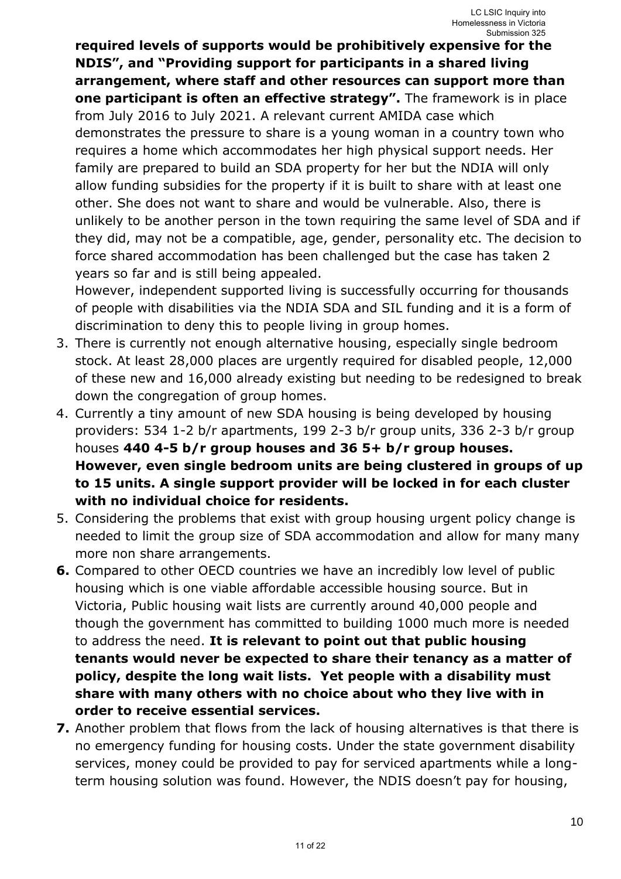**required levels of supports would be prohibitively expensive for the NDIS", and "Providing support for participants in a shared living arrangement, where staff and other resources can support more than one participant is often an effective strategy".** The framework is in place from July 2016 to July 2021. A relevant current AMIDA case which demonstrates the pressure to share is a young woman in a country town who requires a home which accommodates her high physical support needs. Her family are prepared to build an SDA property for her but the NDIA will only allow funding subsidies for the property if it is built to share with at least one other. She does not want to share and would be vulnerable. Also, there is unlikely to be another person in the town requiring the same level of SDA and if they did, may not be a compatible, age, gender, personality etc. The decision to force shared accommodation has been challenged but the case has taken 2 years so far and is still being appealed.

However, independent supported living is successfully occurring for thousands of people with disabilities via the NDIA SDA and SIL funding and it is a form of discrimination to deny this to people living in group homes.

- 3. There is currently not enough alternative housing, especially single bedroom stock. At least 28,000 places are urgently required for disabled people, 12,000 of these new and 16,000 already existing but needing to be redesigned to break down the congregation of group homes.
- 4. Currently a tiny amount of new SDA housing is being developed by housing providers: 534 1-2 b/r apartments, 199 2-3 b/r group units, 336 2-3 b/r group houses **440 4-5 b/r group houses and 36 5+ b/r group houses. However, even single bedroom units are being clustered in groups of up to 15 units. A single support provider will be locked in for each cluster with no individual choice for residents.**
- 5. Considering the problems that exist with group housing urgent policy change is needed to limit the group size of SDA accommodation and allow for many many more non share arrangements.
- **6.** Compared to other OECD countries we have an incredibly low level of public housing which is one viable affordable accessible housing source. But in Victoria, Public housing wait lists are currently around 40,000 people and though the government has committed to building 1000 much more is needed to address the need. **It is relevant to point out that public housing tenants would never be expected to share their tenancy as a matter of policy, despite the long wait lists. Yet people with a disability must share with many others with no choice about who they live with in order to receive essential services.**
- **7.** Another problem that flows from the lack of housing alternatives is that there is no emergency funding for housing costs. Under the state government disability services, money could be provided to pay for serviced apartments while a longterm housing solution was found. However, the NDIS doesn't pay for housing,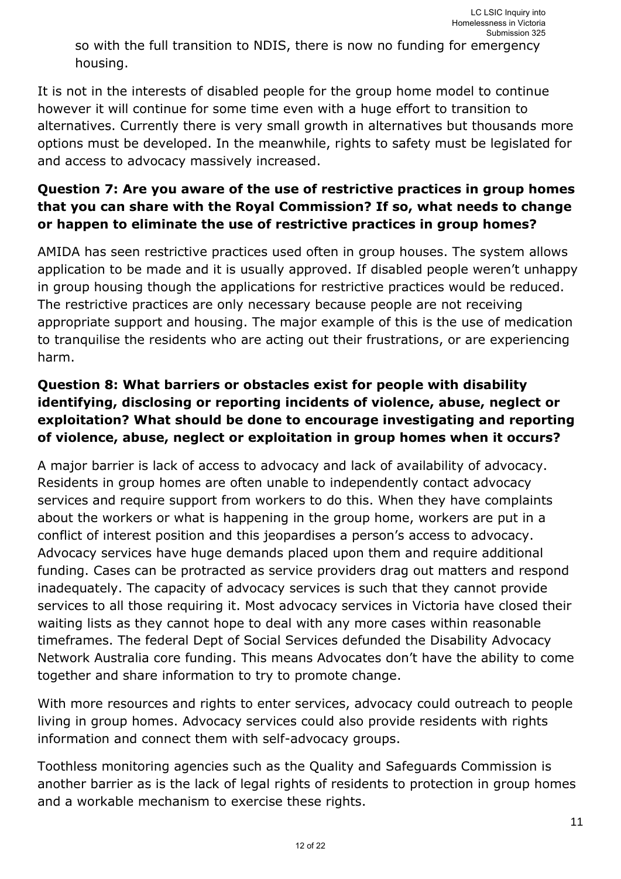so with the full transition to NDIS, there is now no funding for emergency housing.

It is not in the interests of disabled people for the group home model to continue however it will continue for some time even with a huge effort to transition to alternatives. Currently there is very small growth in alternatives but thousands more options must be developed. In the meanwhile, rights to safety must be legislated for and access to advocacy massively increased.

## **Question 7: Are you aware of the use of restrictive practices in group homes that you can share with the Royal Commission? If so, what needs to change or happen to eliminate the use of restrictive practices in group homes?**

AMIDA has seen restrictive practices used often in group houses. The system allows application to be made and it is usually approved. If disabled people weren't unhappy in group housing though the applications for restrictive practices would be reduced. The restrictive practices are only necessary because people are not receiving appropriate support and housing. The major example of this is the use of medication to tranquilise the residents who are acting out their frustrations, or are experiencing harm.

## **Question 8: What barriers or obstacles exist for people with disability identifying, disclosing or reporting incidents of violence, abuse, neglect or exploitation? What should be done to encourage investigating and reporting of violence, abuse, neglect or exploitation in group homes when it occurs?**

A major barrier is lack of access to advocacy and lack of availability of advocacy. Residents in group homes are often unable to independently contact advocacy services and require support from workers to do this. When they have complaints about the workers or what is happening in the group home, workers are put in a conflict of interest position and this jeopardises a person's access to advocacy. Advocacy services have huge demands placed upon them and require additional funding. Cases can be protracted as service providers drag out matters and respond inadequately. The capacity of advocacy services is such that they cannot provide services to all those requiring it. Most advocacy services in Victoria have closed their waiting lists as they cannot hope to deal with any more cases within reasonable timeframes. The federal Dept of Social Services defunded the Disability Advocacy Network Australia core funding. This means Advocates don't have the ability to come together and share information to try to promote change.

With more resources and rights to enter services, advocacy could outreach to people living in group homes. Advocacy services could also provide residents with rights information and connect them with self-advocacy groups.

Toothless monitoring agencies such as the Quality and Safeguards Commission is another barrier as is the lack of legal rights of residents to protection in group homes and a workable mechanism to exercise these rights.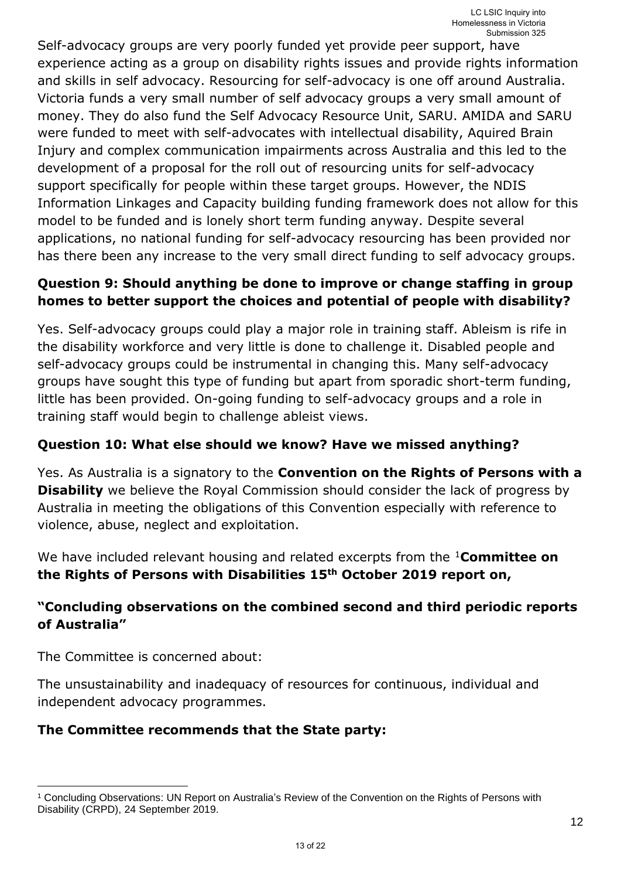Self-advocacy groups are very poorly funded yet provide peer support, have experience acting as a group on disability rights issues and provide rights information and skills in self advocacy. Resourcing for self-advocacy is one off around Australia. Victoria funds a very small number of self advocacy groups a very small amount of money. They do also fund the Self Advocacy Resource Unit, SARU. AMIDA and SARU were funded to meet with self-advocates with intellectual disability, Aquired Brain Injury and complex communication impairments across Australia and this led to the development of a proposal for the roll out of resourcing units for self-advocacy support specifically for people within these target groups. However, the NDIS Information Linkages and Capacity building funding framework does not allow for this model to be funded and is lonely short term funding anyway. Despite several applications, no national funding for self-advocacy resourcing has been provided nor has there been any increase to the very small direct funding to self advocacy groups.

## **Question 9: Should anything be done to improve or change staffing in group homes to better support the choices and potential of people with disability?**

Yes. Self-advocacy groups could play a major role in training staff. Ableism is rife in the disability workforce and very little is done to challenge it. Disabled people and self-advocacy groups could be instrumental in changing this. Many self-advocacy groups have sought this type of funding but apart from sporadic short-term funding, little has been provided. On-going funding to self-advocacy groups and a role in training staff would begin to challenge ableist views.

### **Question 10: What else should we know? Have we missed anything?**

Yes. As Australia is a signatory to the **Convention on the Rights of Persons with a Disability** we believe the Royal Commission should consider the lack of progress by Australia in meeting the obligations of this Convention especially with reference to violence, abuse, neglect and exploitation.

We have included relevant housing and related excerpts from the <sup>1</sup>**Committee on the Rights of Persons with Disabilities 15th October 2019 report on,** 

## **"Concluding observations on the combined second and third periodic reports of Australia"**

The Committee is concerned about:

-

The unsustainability and inadequacy of resources for continuous, individual and independent advocacy programmes.

## **The Committee recommends that the State party:**

<sup>1</sup> Concluding Observations: UN Report on Australia's Review of the Convention on the Rights of Persons with Disability (CRPD), 24 September 2019.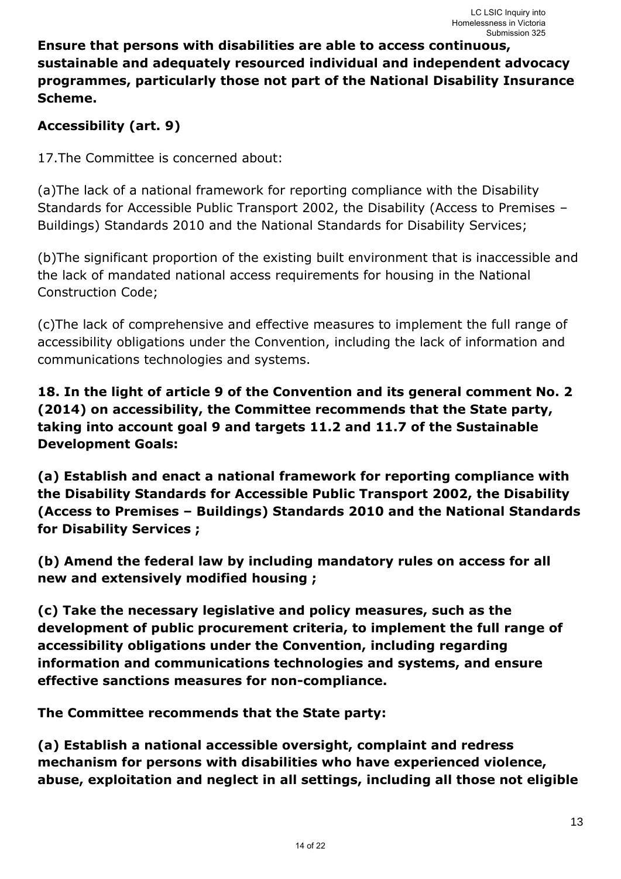## **Ensure that persons with disabilities are able to access continuous, sustainable and adequately resourced individual and independent advocacy programmes, particularly those not part of the National Disability Insurance Scheme.**

# **Accessibility (art. 9)**

17.The Committee is concerned about:

(a)The lack of a national framework for reporting compliance with the Disability Standards for Accessible Public Transport 2002, the Disability (Access to Premises – Buildings) Standards 2010 and the National Standards for Disability Services;

(b)The significant proportion of the existing built environment that is inaccessible and the lack of mandated national access requirements for housing in the National Construction Code;

(c)The lack of comprehensive and effective measures to implement the full range of accessibility obligations under the Convention, including the lack of information and communications technologies and systems.

**18. In the light of article 9 of the Convention and its general comment No. 2 (2014) on accessibility, the Committee recommends that the State party, taking into account goal 9 and targets 11.2 and 11.7 of the Sustainable Development Goals:** 

**(a) Establish and enact a national framework for reporting compliance with the Disability Standards for Accessible Public Transport 2002, the Disability (Access to Premises – Buildings) Standards 2010 and the National Standards for Disability Services ;** 

**(b) Amend the federal law by including mandatory rules on access for all new and extensively modified housing ;** 

**(c) Take the necessary legislative and policy measures, such as the development of public procurement criteria, to implement the full range of accessibility obligations under the Convention, including regarding information and communications technologies and systems, and ensure effective sanctions measures for non-compliance.** 

**The Committee recommends that the State party:** 

**(a) Establish a national accessible oversight, complaint and redress mechanism for persons with disabilities who have experienced violence, abuse, exploitation and neglect in all settings, including all those not eligible**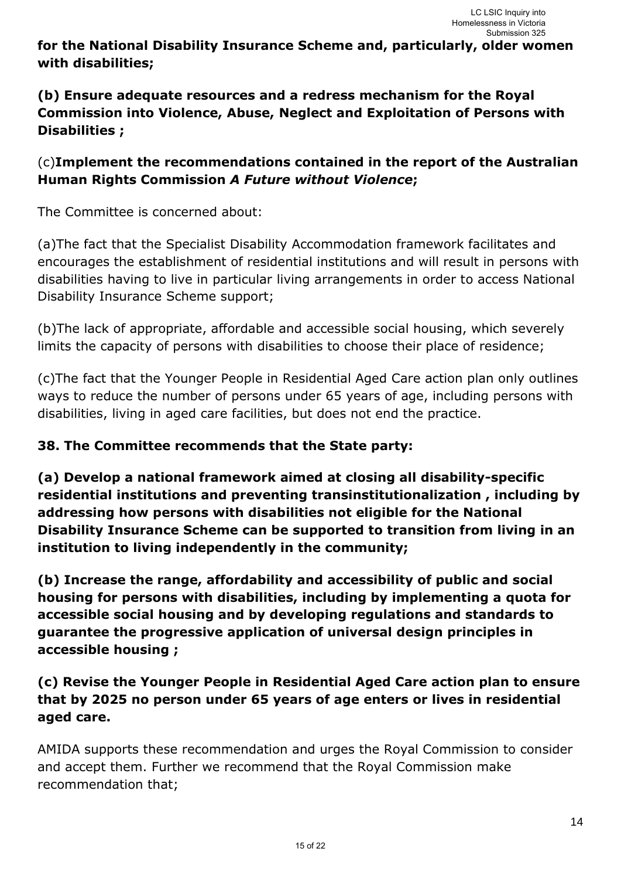**for the National Disability Insurance Scheme and, particularly, older women with disabilities;** 

# **(b) Ensure adequate resources and a redress mechanism for the Royal Commission into Violence, Abuse, Neglect and Exploitation of Persons with Disabilities ;**

# (c)**Implement the recommendations contained in the report of the Australian Human Rights Commission** *A Future without Violence***;**

The Committee is concerned about:

(a)The fact that the Specialist Disability Accommodation framework facilitates and encourages the establishment of residential institutions and will result in persons with disabilities having to live in particular living arrangements in order to access National Disability Insurance Scheme support;

(b)The lack of appropriate, affordable and accessible social housing, which severely limits the capacity of persons with disabilities to choose their place of residence;

(c)The fact that the Younger People in Residential Aged Care action plan only outlines ways to reduce the number of persons under 65 years of age, including persons with disabilities, living in aged care facilities, but does not end the practice.

## **38. The Committee recommends that the State party:**

**(a) Develop a national framework aimed at closing all disability-specific residential institutions and preventing transinstitutionalization , including by addressing how persons with disabilities not eligible for the National Disability Insurance Scheme can be supported to transition from living in an institution to living independently in the community;** 

**(b) Increase the range, affordability and accessibility of public and social housing for persons with disabilities, including by implementing a quota for accessible social housing and by developing regulations and standards to guarantee the progressive application of universal design principles in accessible housing ;** 

# **(c) Revise the Younger People in Residential Aged Care action plan to ensure that by 2025 no person under 65 years of age enters or lives in residential aged care.**

AMIDA supports these recommendation and urges the Royal Commission to consider and accept them. Further we recommend that the Royal Commission make recommendation that;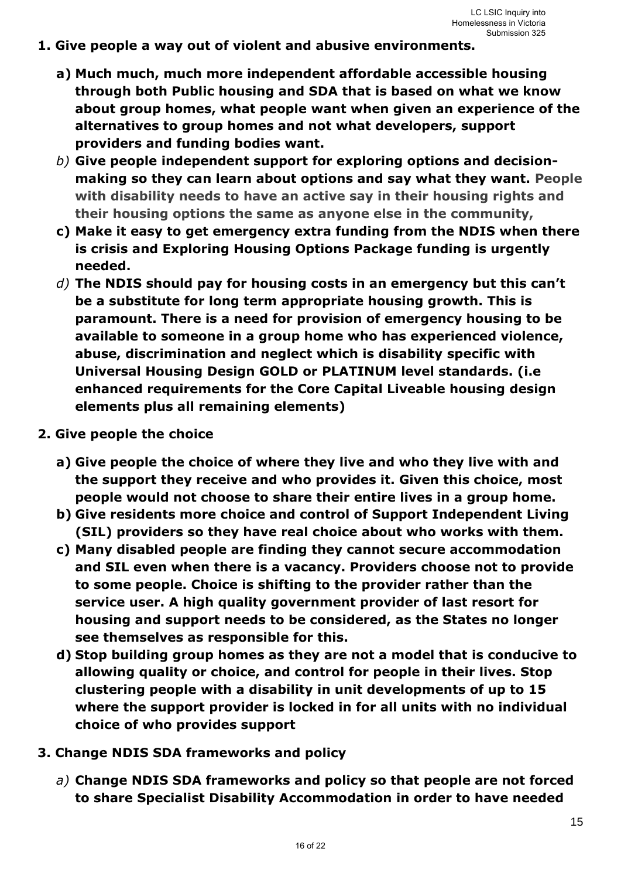- **1. Give people a way out of violent and abusive environments.** 
	- **a) Much much, much more independent affordable accessible housing through both Public housing and SDA that is based on what we know about group homes, what people want when given an experience of the alternatives to group homes and not what developers, support providers and funding bodies want.**
	- *b)* **Give people independent support for exploring options and decisionmaking so they can learn about options and say what they want. People with disability needs to have an active say in their housing rights and their housing options the same as anyone else in the community,**
	- **c) Make it easy to get emergency extra funding from the NDIS when there is crisis and Exploring Housing Options Package funding is urgently needed.**
	- *d)* **The NDIS should pay for housing costs in an emergency but this can't be a substitute for long term appropriate housing growth. This is paramount. There is a need for provision of emergency housing to be available to someone in a group home who has experienced violence, abuse, discrimination and neglect which is disability specific with Universal Housing Design GOLD or PLATINUM level standards. (i.e enhanced requirements for the Core Capital Liveable housing design elements plus all remaining elements)**
- **2. Give people the choice** 
	- **a) Give people the choice of where they live and who they live with and the support they receive and who provides it. Given this choice, most people would not choose to share their entire lives in a group home.**
	- **b) Give residents more choice and control of Support Independent Living (SIL) providers so they have real choice about who works with them.**
	- **c) Many disabled people are finding they cannot secure accommodation and SIL even when there is a vacancy. Providers choose not to provide to some people. Choice is shifting to the provider rather than the service user. A high quality government provider of last resort for housing and support needs to be considered, as the States no longer see themselves as responsible for this.**
	- **d) Stop building group homes as they are not a model that is conducive to allowing quality or choice, and control for people in their lives. Stop clustering people with a disability in unit developments of up to 15 where the support provider is locked in for all units with no individual choice of who provides support**
- **3. Change NDIS SDA frameworks and policy** 
	- *a)* **Change NDIS SDA frameworks and policy so that people are not forced to share Specialist Disability Accommodation in order to have needed**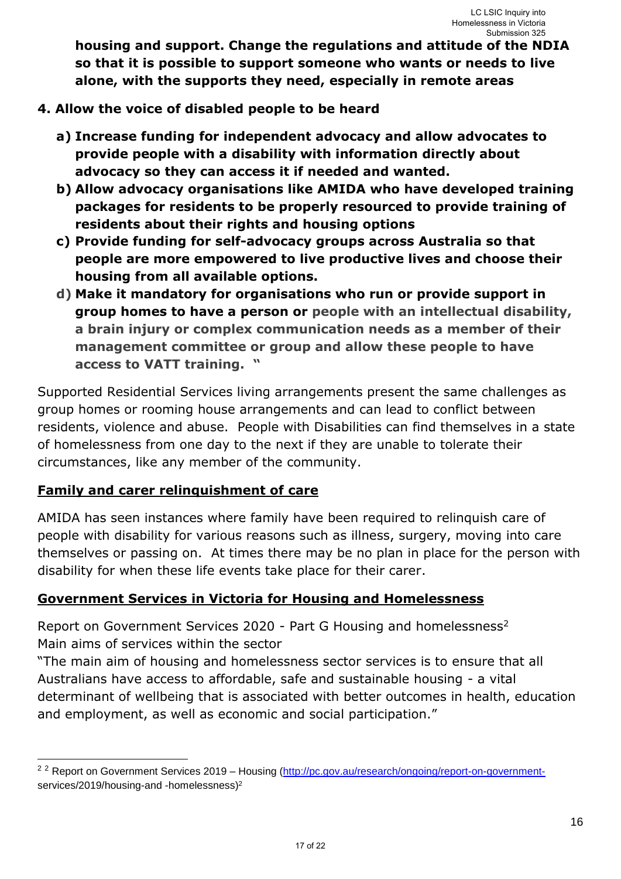**housing and support. Change the regulations and attitude of the NDIA so that it is possible to support someone who wants or needs to live alone, with the supports they need, especially in remote areas**

- **4. Allow the voice of disabled people to be heard** 
	- **a) Increase funding for independent advocacy and allow advocates to provide people with a disability with information directly about advocacy so they can access it if needed and wanted.**
	- **b) Allow advocacy organisations like AMIDA who have developed training packages for residents to be properly resourced to provide training of residents about their rights and housing options**
	- **c) Provide funding for self-advocacy groups across Australia so that people are more empowered to live productive lives and choose their housing from all available options.**
	- **d) Make it mandatory for organisations who run or provide support in group homes to have a person or people with an intellectual disability, a brain injury or complex communication needs as a member of their management committee or group and allow these people to have access to VATT training. "**

Supported Residential Services living arrangements present the same challenges as group homes or rooming house arrangements and can lead to conflict between residents, violence and abuse. People with Disabilities can find themselves in a state of homelessness from one day to the next if they are unable to tolerate their circumstances, like any member of the community.

## **Family and carer relinquishment of care**

-

AMIDA has seen instances where family have been required to relinquish care of people with disability for various reasons such as illness, surgery, moving into care themselves or passing on. At times there may be no plan in place for the person with disability for when these life events take place for their carer.

## **Government Services in Victoria for Housing and Homelessness**

Report on Government Services 2020 - Part G Housing and homelessness<sup>2</sup> Main aims of services within the sector

"The main aim of housing and homelessness sector services is to ensure that all Australians have access to affordable, safe and sustainable housing - a vital determinant of wellbeing that is associated with better outcomes in health, education and employment, as well as economic and social participation."

<sup>&</sup>lt;sup>2 2</sup> Report on Government Services 2019 – Housing (http://pc.gov.au/research/ongoing/report-on-governmentservices/2019/housing-and -homelessness)<sup>2</sup>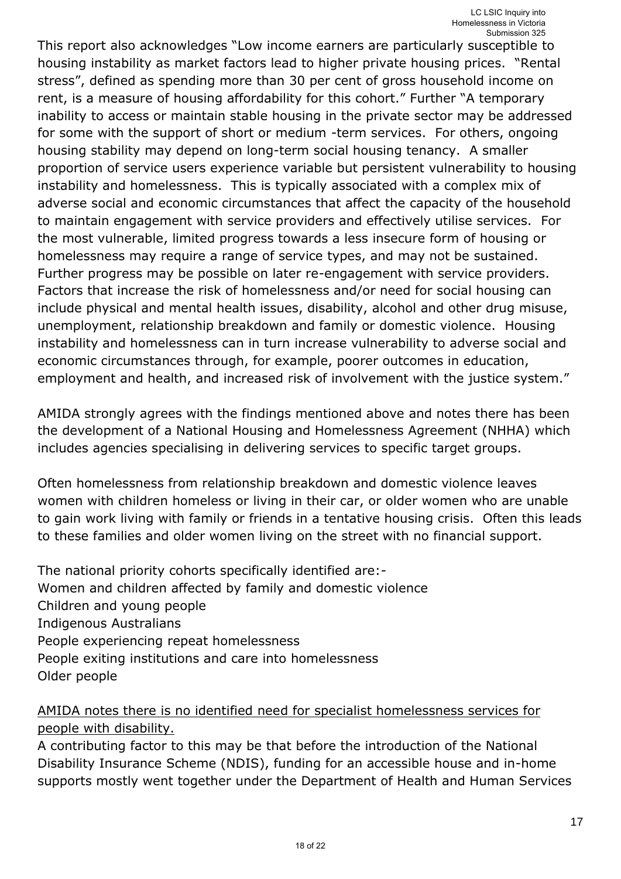This report also acknowledges "Low income earners are particularly susceptible to housing instability as market factors lead to higher private housing prices. "Rental stress", defined as spending more than 30 per cent of gross household income on rent, is a measure of housing affordability for this cohort." Further "A temporary inability to access or maintain stable housing in the private sector may be addressed for some with the support of short or medium -term services. For others, ongoing housing stability may depend on long-term social housing tenancy. A smaller proportion of service users experience variable but persistent vulnerability to housing instability and homelessness. This is typically associated with a complex mix of adverse social and economic circumstances that affect the capacity of the household to maintain engagement with service providers and effectively utilise services. For the most vulnerable, limited progress towards a less insecure form of housing or homelessness may require a range of service types, and may not be sustained. Further progress may be possible on later re-engagement with service providers. Factors that increase the risk of homelessness and/or need for social housing can include physical and mental health issues, disability, alcohol and other drug misuse, unemployment, relationship breakdown and family or domestic violence. Housing instability and homelessness can in turn increase vulnerability to adverse social and economic circumstances through, for example, poorer outcomes in education, employment and health, and increased risk of involvement with the justice system."

AMIDA strongly agrees with the findings mentioned above and notes there has been the development of a National Housing and Homelessness Agreement (NHHA) which includes agencies specialising in delivering services to specific target groups.

Often homelessness from relationship breakdown and domestic violence leaves women with children homeless or living in their car, or older women who are unable to gain work living with family or friends in a tentative housing crisis. Often this leads to these families and older women living on the street with no financial support.

The national priority cohorts specifically identified are:- Women and children affected by family and domestic violence Children and young people Indigenous Australians People experiencing repeat homelessness People exiting institutions and care into homelessness Older people

## AMIDA notes there is no identified need for specialist homelessness services for people with disability.

A contributing factor to this may be that before the introduction of the National Disability Insurance Scheme (NDIS), funding for an accessible house and in-home supports mostly went together under the Department of Health and Human Services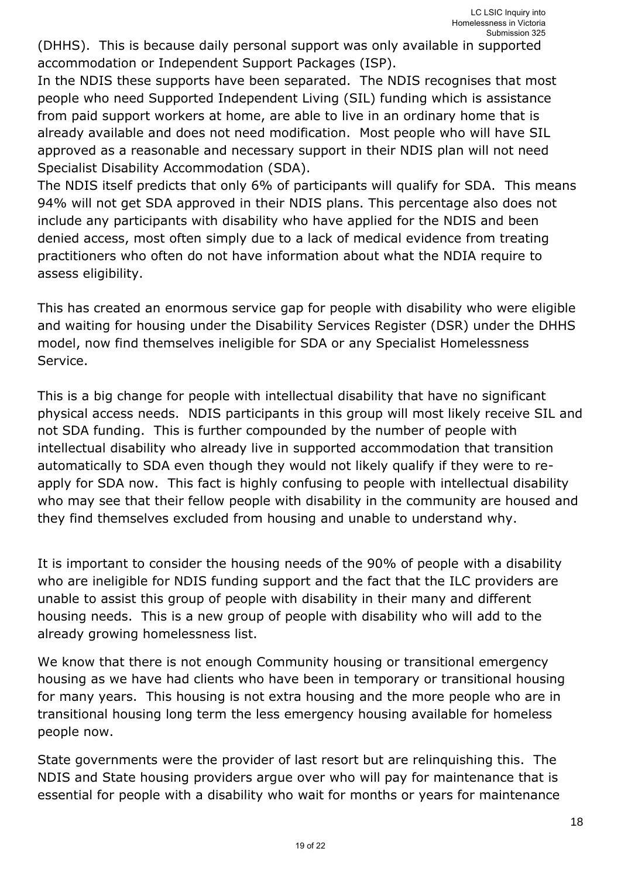(DHHS). This is because daily personal support was only available in supported accommodation or Independent Support Packages (ISP).

In the NDIS these supports have been separated. The NDIS recognises that most people who need Supported Independent Living (SIL) funding which is assistance from paid support workers at home, are able to live in an ordinary home that is already available and does not need modification. Most people who will have SIL approved as a reasonable and necessary support in their NDIS plan will not need Specialist Disability Accommodation (SDA).

The NDIS itself predicts that only 6% of participants will qualify for SDA. This means 94% will not get SDA approved in their NDIS plans. This percentage also does not include any participants with disability who have applied for the NDIS and been denied access, most often simply due to a lack of medical evidence from treating practitioners who often do not have information about what the NDIA require to assess eligibility.

This has created an enormous service gap for people with disability who were eligible and waiting for housing under the Disability Services Register (DSR) under the DHHS model, now find themselves ineligible for SDA or any Specialist Homelessness Service.

This is a big change for people with intellectual disability that have no significant physical access needs. NDIS participants in this group will most likely receive SIL and not SDA funding. This is further compounded by the number of people with intellectual disability who already live in supported accommodation that transition automatically to SDA even though they would not likely qualify if they were to reapply for SDA now. This fact is highly confusing to people with intellectual disability who may see that their fellow people with disability in the community are housed and they find themselves excluded from housing and unable to understand why.

It is important to consider the housing needs of the 90% of people with a disability who are ineligible for NDIS funding support and the fact that the ILC providers are unable to assist this group of people with disability in their many and different housing needs. This is a new group of people with disability who will add to the already growing homelessness list.

We know that there is not enough Community housing or transitional emergency housing as we have had clients who have been in temporary or transitional housing for many years. This housing is not extra housing and the more people who are in transitional housing long term the less emergency housing available for homeless people now.

State governments were the provider of last resort but are relinquishing this. The NDIS and State housing providers argue over who will pay for maintenance that is essential for people with a disability who wait for months or years for maintenance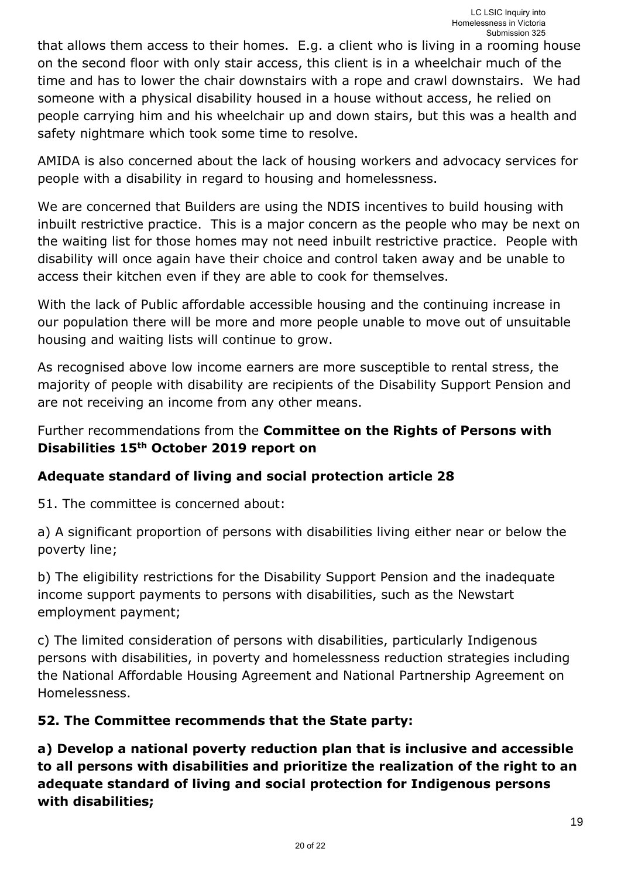that allows them access to their homes. E.g. a client who is living in a rooming house on the second floor with only stair access, this client is in a wheelchair much of the time and has to lower the chair downstairs with a rope and crawl downstairs. We had someone with a physical disability housed in a house without access, he relied on people carrying him and his wheelchair up and down stairs, but this was a health and safety nightmare which took some time to resolve.

AMIDA is also concerned about the lack of housing workers and advocacy services for people with a disability in regard to housing and homelessness.

We are concerned that Builders are using the NDIS incentives to build housing with inbuilt restrictive practice. This is a major concern as the people who may be next on the waiting list for those homes may not need inbuilt restrictive practice. People with disability will once again have their choice and control taken away and be unable to access their kitchen even if they are able to cook for themselves.

With the lack of Public affordable accessible housing and the continuing increase in our population there will be more and more people unable to move out of unsuitable housing and waiting lists will continue to grow.

As recognised above low income earners are more susceptible to rental stress, the majority of people with disability are recipients of the Disability Support Pension and are not receiving an income from any other means.

## Further recommendations from the **Committee on the Rights of Persons with Disabilities 15th October 2019 report on**

## **Adequate standard of living and social protection article 28**

51. The committee is concerned about:

a) A significant proportion of persons with disabilities living either near or below the poverty line;

b) The eligibility restrictions for the Disability Support Pension and the inadequate income support payments to persons with disabilities, such as the Newstart employment payment;

c) The limited consideration of persons with disabilities, particularly Indigenous persons with disabilities, in poverty and homelessness reduction strategies including the National Affordable Housing Agreement and National Partnership Agreement on Homelessness.

## **52. The Committee recommends that the State party:**

**a) Develop a national poverty reduction plan that is inclusive and accessible to all persons with disabilities and prioritize the realization of the right to an adequate standard of living and social protection for Indigenous persons with disabilities;**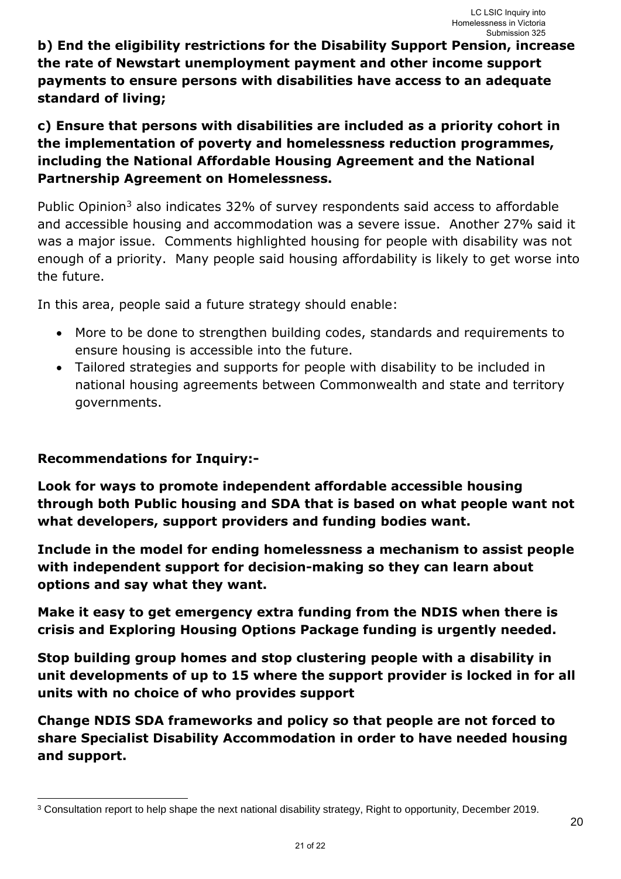**b) End the eligibility restrictions for the Disability Support Pension, increase the rate of Newstart unemployment payment and other income support payments to ensure persons with disabilities have access to an adequate standard of living;** 

**c) Ensure that persons with disabilities are included as a priority cohort in the implementation of poverty and homelessness reduction programmes, including the National Affordable Housing Agreement and the National Partnership Agreement on Homelessness.** 

Public Opinion<sup>3</sup> also indicates 32% of survey respondents said access to affordable and accessible housing and accommodation was a severe issue. Another 27% said it was a major issue. Comments highlighted housing for people with disability was not enough of a priority. Many people said housing affordability is likely to get worse into the future.

In this area, people said a future strategy should enable:

- More to be done to strengthen building codes, standards and requirements to ensure housing is accessible into the future.
- Tailored strategies and supports for people with disability to be included in national housing agreements between Commonwealth and state and territory governments.

#### **Recommendations for Inquiry:-**

-

**Look for ways to promote independent affordable accessible housing through both Public housing and SDA that is based on what people want not what developers, support providers and funding bodies want.** 

**Include in the model for ending homelessness a mechanism to assist people with independent support for decision-making so they can learn about options and say what they want.** 

**Make it easy to get emergency extra funding from the NDIS when there is crisis and Exploring Housing Options Package funding is urgently needed.** 

**Stop building group homes and stop clustering people with a disability in unit developments of up to 15 where the support provider is locked in for all units with no choice of who provides support** 

**Change NDIS SDA frameworks and policy so that people are not forced to share Specialist Disability Accommodation in order to have needed housing and support.** 

<sup>3</sup> Consultation report to help shape the next national disability strategy, Right to opportunity, December 2019.